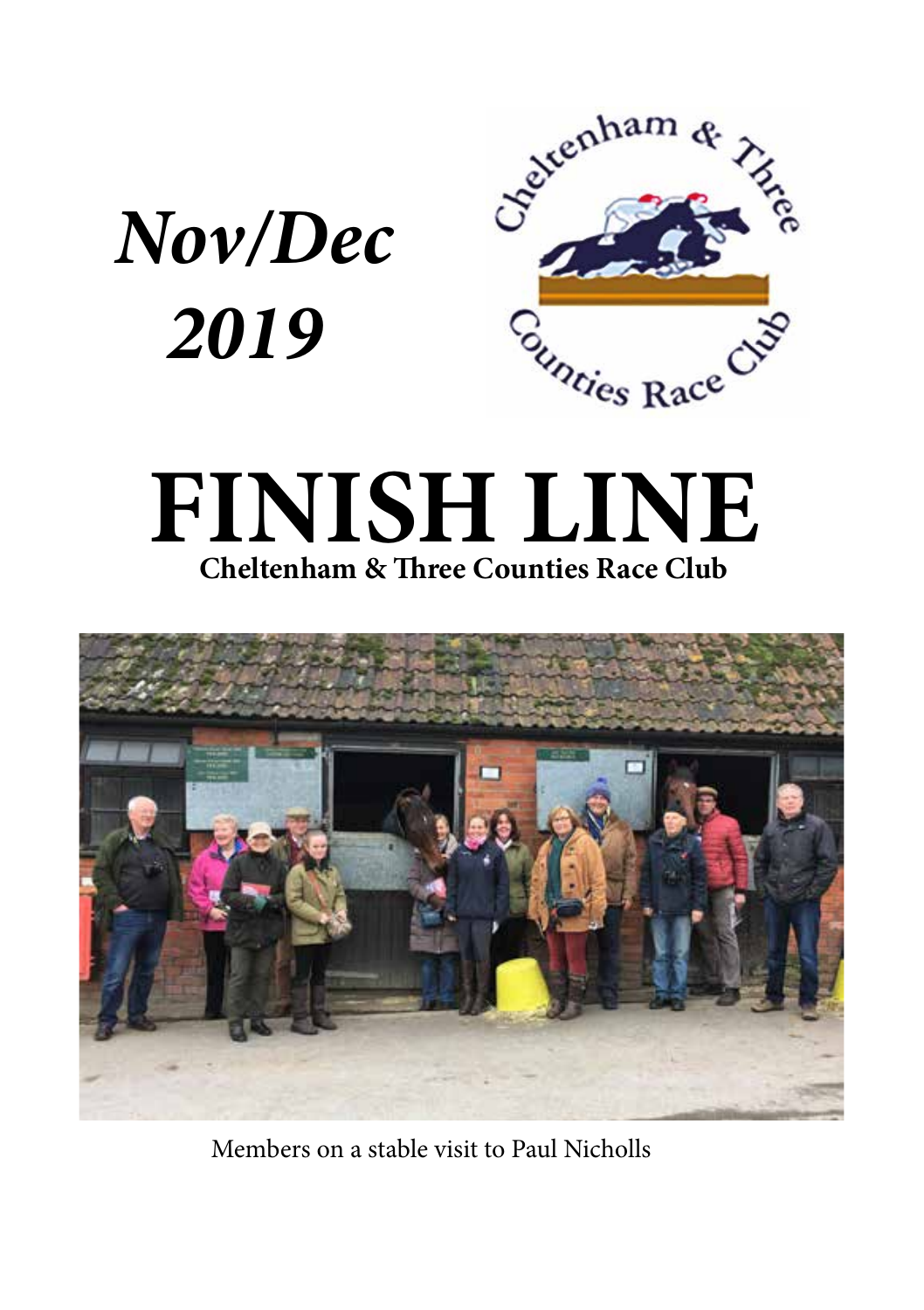

# **FINISH LINE Cheltenham & Three Counties Race Club**



Members on a stable visit to Paul Nicholls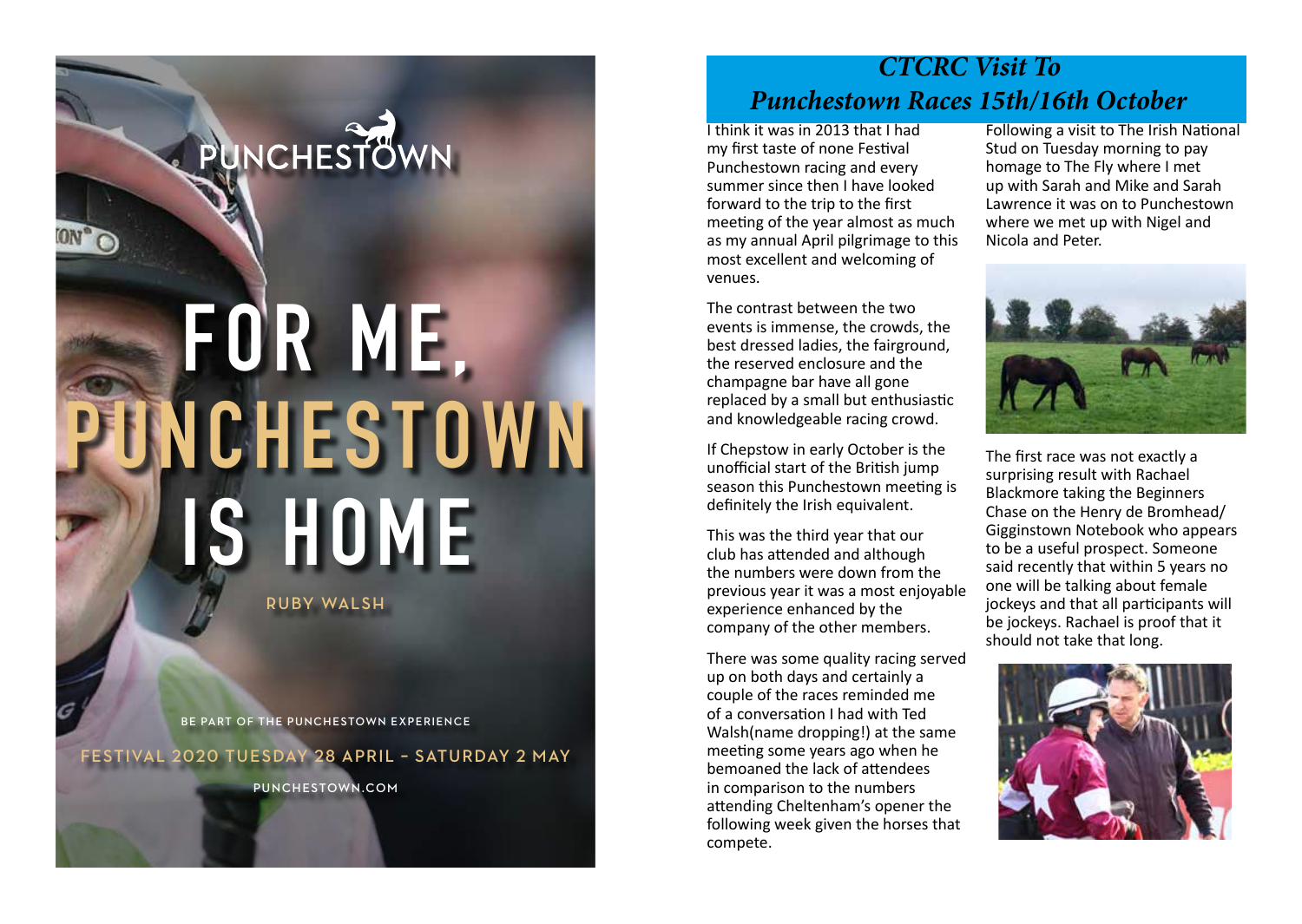# **FOR ME , UNCHESTOWN IS HOME**

**PUNCHESTOWN** 

**RUBY WALSH**

**BE PART OF THE PUNCHESTOWN EXPERIENCE**

**FESTIVAL 2020 TUESDAY 28 APRIL – SATURDAY 2 MAY** 

**PUNCHESTOWN.COM**

## *CTCRC Visit To Punchestown Races 15th/16th October*

I think it was in 2013 that I had my first taste of none Festival Punchestown racing and every summer since then I have looked forward to the trip to the first meeting of the year almost as much as my annual April pilgrimage to this most excellent and welcoming of venues.

The contrast between the two events is immense, the crowds, the best dressed ladies, the fairground, the reserved enclosure and the champagne bar have all gone replaced by a small but enthusiastic and knowledgeable racing crowd.

If Chepstow in early October is the unofficial start of the British jump season this Punchestown meeting is definitely the Irish equivalent.

This was the third year that our club has attended and although the numbers were down from the previous year it was a most enjoyable experience enhanced by the company of the other members.

There was some quality racing served up on both days and certainly a couple of the races reminded me of a conversation I had with Ted Walsh(name dropping!) at the same meeting some years ago when he bemoaned the lack of attendees in comparison to the numbers attending Cheltenham's opener the following week given the horses that compete.

Following a visit to The Irish National Stud on Tuesday morning to pay homage to The Fly where I met up with Sarah and Mike and Sarah Lawrence it was on to Punchestown where we met up with Nigel and Nicola and Peter.



The first race was not exactly a surprising result with Rachael Blackmore taking the Beginners Chase on the Henry de Bromhead/ Gigginstown Notebook who appears to be a useful prospect. Someone said recently that within 5 years no one will be talking about female jockeys and that all participants will be jockeys. Rachael is proof that it should not take that long.

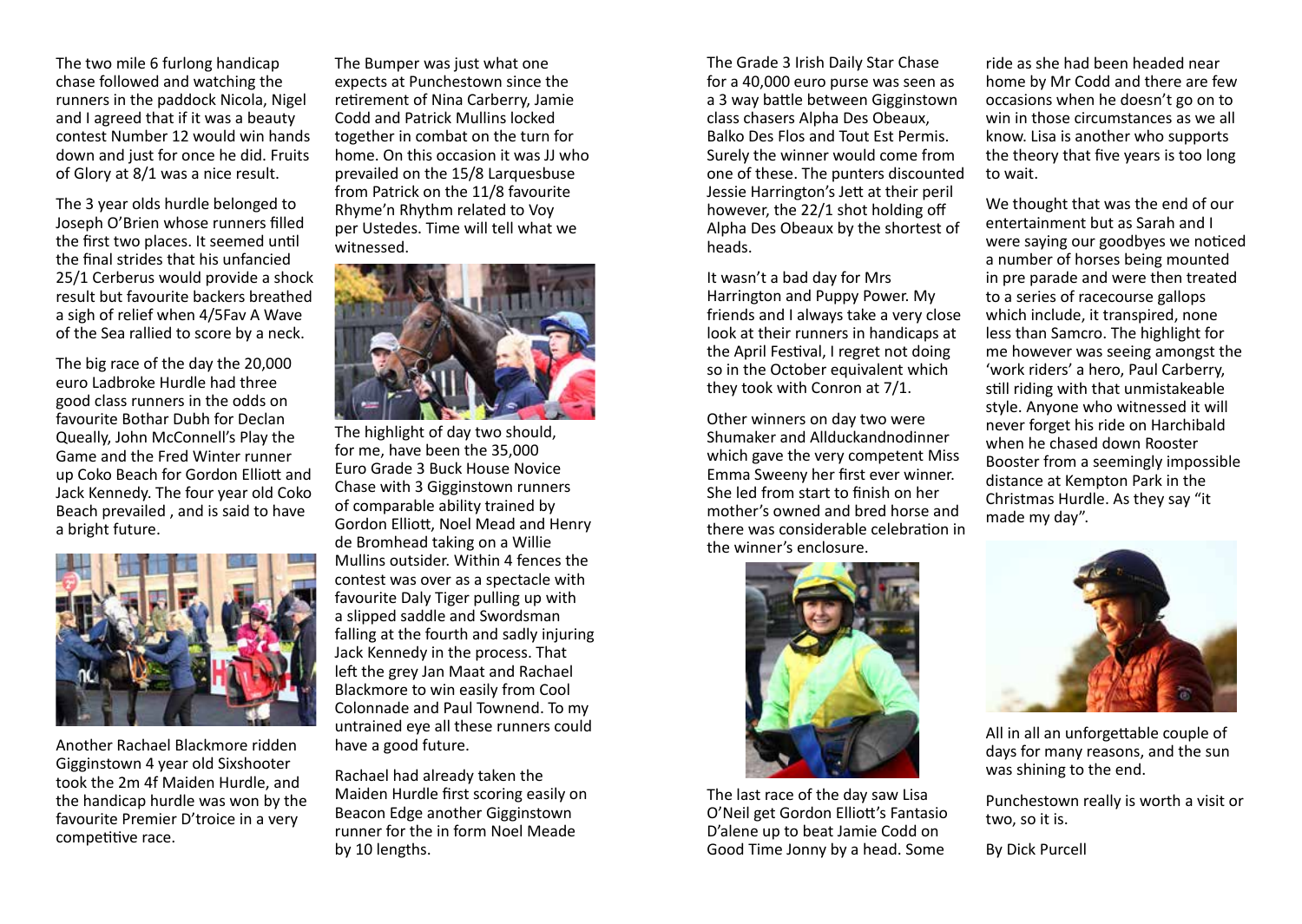The two mile 6 furlong handicap chase followed and watching the runners in the paddock Nicola, Nigel and I agreed that if it was a beauty contest Number 12 would win hands down and just for once he did. Fruits of Glory at 8/1 was a nice result.

The 3 year olds hurdle belonged to Joseph O'Brien whose runners filled the first two places. It seemed until the final strides that his unfancied 25/1 Cerberus would provide a shock result but favourite backers breathed a sigh of relief when 4/5Fav A Wave of the Sea rallied to score by a neck.

The big race of the day the 20,000 euro Ladbroke Hurdle had three good class runners in the odds on favourite Bothar Dubh for Declan Queally, John McConnell's Play the Game and the Fred Winter runner up Coko Beach for Gordon Elliott and Jack Kennedy. The four year old Coko Beach prevailed , and is said to have a bright future.



Another Rachael Blackmore ridden Gigginstown 4 year old Sixshooter took the 2m 4f Maiden Hurdle, and the handicap hurdle was won by the favourite Premier D'troice in a very competitive race.

The Bumper was just what one expects at Punchestown since the retirement of Nina Carberry, Jamie Codd and Patrick Mullins locked together in combat on the turn for home. On this occasion it was JJ who prevailed on the 15/8 Larquesbuse from Patrick on the 11/8 favourite Rhyme'n Rhythm related to Voy per Ustedes. Time will tell what we witnessed.



The highlight of day two should, for me, have been the 35,000 Euro Grade 3 Buck House Novice Chase with 3 Gigginstown runners of comparable ability trained by Gordon Elliott, Noel Mead and Henry de Bromhead taking on a Willie Mullins outsider. Within 4 fences the contest was over as a spectacle with favourite Daly Tiger pulling up with a slipped saddle and Swordsman falling at the fourth and sadly injuring Jack Kennedy in the process. That left the grey Jan Maat and Rachael Blackmore to win easily from Cool Colonnade and Paul Townend. To my untrained eye all these runners could have a good future.

Rachael had already taken the Maiden Hurdle first scoring easily on Beacon Edge another Gigginstown runner for the in form Noel Meade by 10 lengths.

The Grade 3 Irish Daily Star Chase for a 40,000 euro purse was seen as a 3 way battle between Gigginstown class chasers Alpha Des Obeaux, Balko Des Flos and Tout Est Permis. Surely the winner would come from one of these. The punters discounted Jessie Harrington's Jett at their peril however, the 22/1 shot holding off Alpha Des Obeaux by the shortest of heads.

It wasn't a bad day for Mrs Harrington and Puppy Power. My friends and I always take a very close look at their runners in handicaps at the April Festival, I regret not doing so in the October equivalent which they took with Conron at 7/1.

Other winners on day two were Shumaker and Allduckandnodinner which gave the very competent Miss Emma Sweeny her first ever winner. She led from start to finish on her mother's owned and bred horse and there was considerable celebration in the winner's enclosure.



The last race of the day saw Lisa O'Neil get Gordon Elliott's Fantasio D'alene up to beat Jamie Codd on Good Time Jonny by a head. Some

ride as she had been headed near home by Mr Codd and there are few occasions when he doesn't go on to win in those circumstances as we all know. Lisa is another who supports the theory that five years is too long to wait.

We thought that was the end of our entertainment but as Sarah and I were saying our goodbyes we noticed a number of horses being mounted in pre parade and were then treated to a series of racecourse gallops which include, it transpired, none less than Samcro. The highlight for me however was seeing amongst the 'work riders' a hero, Paul Carberry, still riding with that unmistakeable style. Anyone who witnessed it will never forget his ride on Harchibald when he chased down Rooster Booster from a seemingly impossible distance at Kempton Park in the Christmas Hurdle. As they say "it made my day".



All in all an unforgettable couple of days for many reasons, and the sun was shining to the end.

Punchestown really is worth a visit or two, so it is.

By Dick Purcell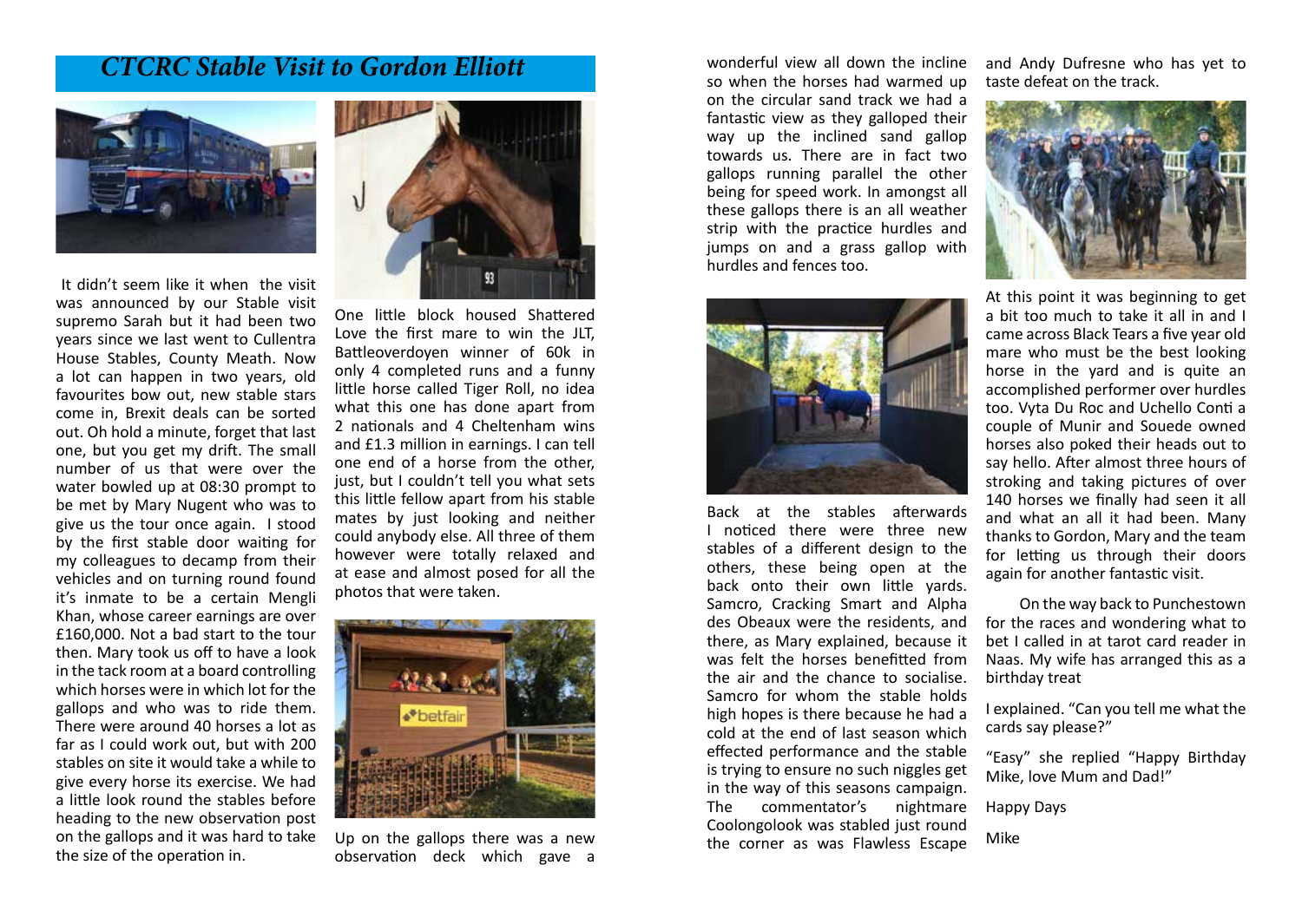#### *CTCRC Stable Visit to Gordon Elliott*



 It didn't seem like it when the visit was announced by our Stable visit supremo Sarah but it had been two years since we last went to Cullentra House Stables, County Meath. Now a lot can happen in two years, old favourites bow out, new stable stars come in, Brexit deals can be sorted out. Oh hold a minute, forget that last one, but you get my drift. The small number of us that were over the water bowled up at 08:30 prompt to be met by Mary Nugent who was to give us the tour once again. I stood by the first stable door waiting for my colleagues to decamp from their vehicles and on turning round found it's inmate to be a certain Mengli Khan, whose career earnings are over £160,000. Not a bad start to the tour then. Mary took us off to have a look in the tack room at a board controlling which horses were in which lot for the gallops and who was to ride them. There were around 40 horses a lot as far as I could work out, but with 200 stables on site it would take a while to give every horse its exercise. We had a little look round the stables before heading to the new observation post on the gallops and it was hard to take the size of the operation in.



One little block housed Shattered Love the first mare to win the JLT, Battleoverdoyen winner of 60k in only 4 completed runs and a funny little horse called Tiger Roll, no idea what this one has done apart from 2 nationals and 4 Cheltenham wins and £1.3 million in earnings. I can tell one end of a horse from the other, just, but I couldn't tell you what sets this little fellow apart from his stable mates by just looking and neither could anybody else. All three of them however were totally relaxed and at ease and almost posed for all the photos that were taken.



Up on the gallops there was a new observation deck which gave a wonderful view all down the incline so when the horses had warmed up on the circular sand track we had a fantastic view as they galloped their way up the inclined sand gallop towards us. There are in fact two gallops running parallel the other being for speed work. In amongst all these gallops there is an all weather strip with the practice hurdles and jumps on and a grass gallop with hurdles and fences too.





At this point it was beginning to get a bit too much to take it all in and I came across Black Tears a five year old mare who must be the best looking horse in the yard and is quite an accomplished performer over hurdles too. Vyta Du Roc and Uchello Conti a couple of Munir and Souede owned horses also poked their heads out to say hello. After almost three hours of stroking and taking pictures of over 140 horses we finally had seen it all and what an all it had been. Many thanks to Gordon, Mary and the team for letting us through their doors again for another fantastic visit.

 On the way back to Punchestown for the races and wondering what to bet I called in at tarot card reader in Naas. My wife has arranged this as a birthday treat

I explained. "Can you tell me what the cards say please?"

"Easy" she replied "Happy Birthday Mike, love Mum and Dad!"

Happy Days

Mike



Back at the stables afterwards I noticed there were three new stables of a different design to the others, these being open at the back onto their own little yards. Samcro, Cracking Smart and Alpha des Obeaux were the residents, and there, as Mary explained, because it was felt the horses benefitted from the air and the chance to socialise. Samcro for whom the stable holds high hopes is there because he had a cold at the end of last season which effected performance and the stable is trying to ensure no such niggles get in the way of this seasons campaign. The commentator's nightmare

Coolongolook was stabled just round the corner as was Flawless Escape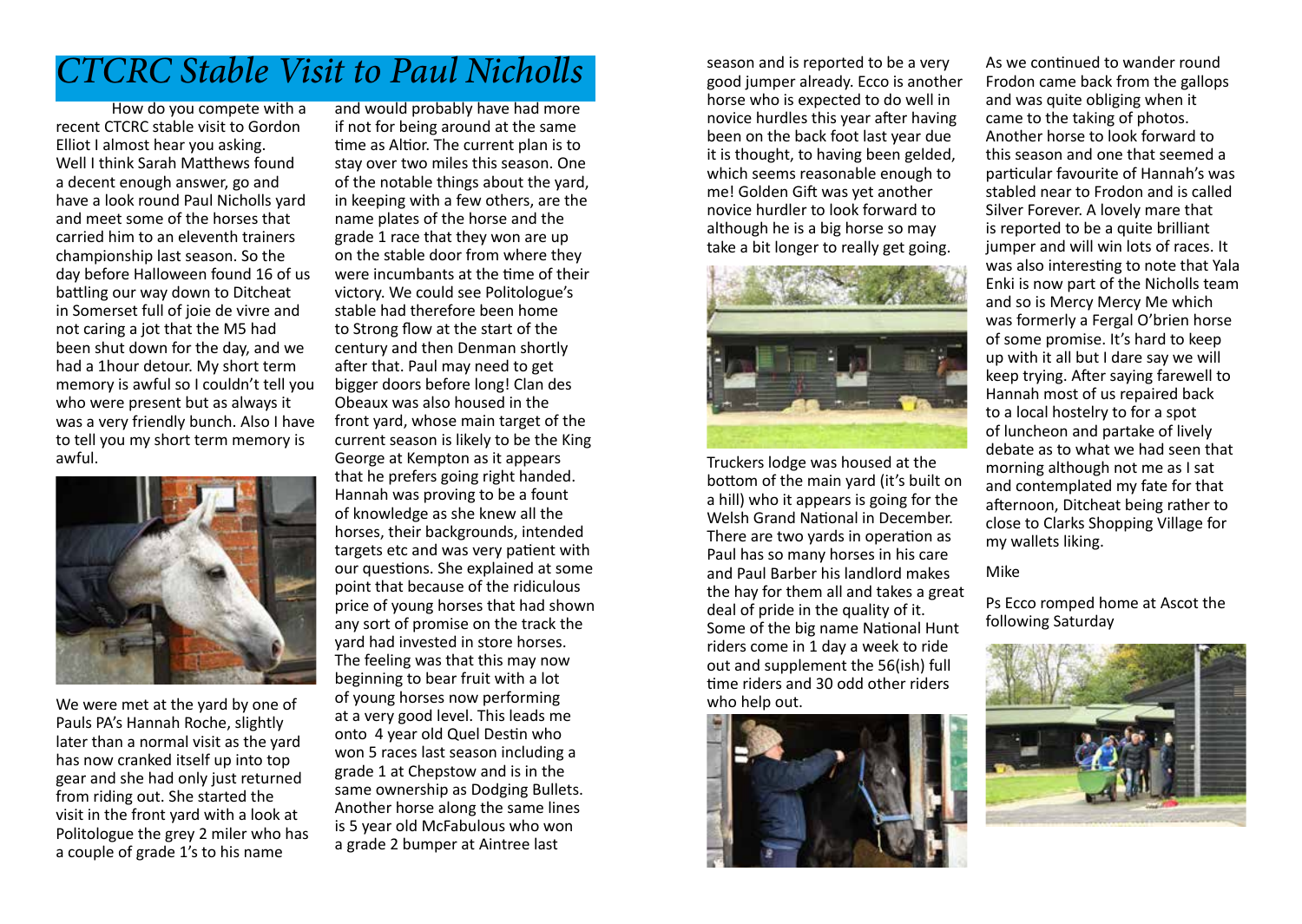## *CTCRC Stable Visit to Paul Nicholls*

How do you compete with a recent CTCRC stable visit to Gordon Elliot I almost hear you asking. Well I think Sarah Matthews found a decent enough answer, go and have a look round Paul Nicholls yard and meet some of the horses that carried him to an eleventh trainers championship last season. So the day before Halloween found 16 of us battling our way down to Ditcheat in Somerset full of joie de vivre and not caring a jot that the M5 had been shut down for the day, and we had a 1hour detour. My short term memory is awful so I couldn't tell you who were present but as always it was a very friendly bunch. Also I have to tell you my short term memory is awful.



We were met at the yard by one of Pauls PA's Hannah Roche, slightly later than a normal visit as the yard has now cranked itself up into top gear and she had only just returned from riding out. She started the visit in the front yard with a look at Politologue the grey 2 miler who has a couple of grade 1's to his name

and would probably have had more if not for being around at the same time as Altior. The current plan is to stay over two miles this season. One of the notable things about the yard, in keeping with a few others, are the name plates of the horse and the grade 1 race that they won are up on the stable door from where they were incumbants at the time of their victory. We could see Politologue's stable had therefore been home to Strong flow at the start of the century and then Denman shortly after that. Paul may need to get bigger doors before long! Clan des Obeaux was also housed in the front yard, whose main target of the current season is likely to be the King George at Kempton as it appears that he prefers going right handed. Hannah was proving to be a fount of knowledge as she knew all the horses, their backgrounds, intended targets etc and was very patient with our questions. She explained at some point that because of the ridiculous price of young horses that had shown any sort of promise on the track the yard had invested in store horses. The feeling was that this may now beginning to bear fruit with a lot of young horses now performing at a very good level. This leads me onto 4 year old Quel Destin who won 5 races last season including a grade 1 at Chepstow and is in the same ownership as Dodging Bullets. Another horse along the same lines is 5 year old McFabulous who won a grade 2 bumper at Aintree last

season and is reported to be a very good jumper already. Ecco is another horse who is expected to do well in novice hurdles this year after having been on the back foot last year due it is thought, to having been gelded, which seems reasonable enough to me! Golden Gift was yet another novice hurdler to look forward to although he is a big horse so may take a bit longer to really get going.



Truckers lodge was housed at the bottom of the main yard (it's built on a hill) who it appears is going for the Welsh Grand National in December. There are two yards in operation as Paul has so many horses in his care and Paul Barber his landlord makes the hay for them all and takes a great deal of pride in the quality of it. Some of the big name National Hunt riders come in 1 day a week to ride out and supplement the 56(ish) full time riders and 30 odd other riders who help out.



As we continued to wander round Frodon came back from the gallops and was quite obliging when it came to the taking of photos. Another horse to look forward to this season and one that seemed a particular favourite of Hannah's was stabled near to Frodon and is called Silver Forever. A lovely mare that is reported to be a quite brilliant jumper and will win lots of races. It was also interesting to note that Yala Enki is now part of the Nicholls team and so is Mercy Mercy Me which was formerly a Fergal O'brien horse of some promise. It's hard to keep up with it all but I dare say we will keep trying. After saying farewell to Hannah most of us repaired back to a local hostelry to for a spot of luncheon and partake of lively debate as to what we had seen that morning although not me as I sat and contemplated my fate for that afternoon, Ditcheat being rather to close to Clarks Shopping Village for my wallets liking.

#### Mike

Ps Ecco romped home at Ascot the following Saturday

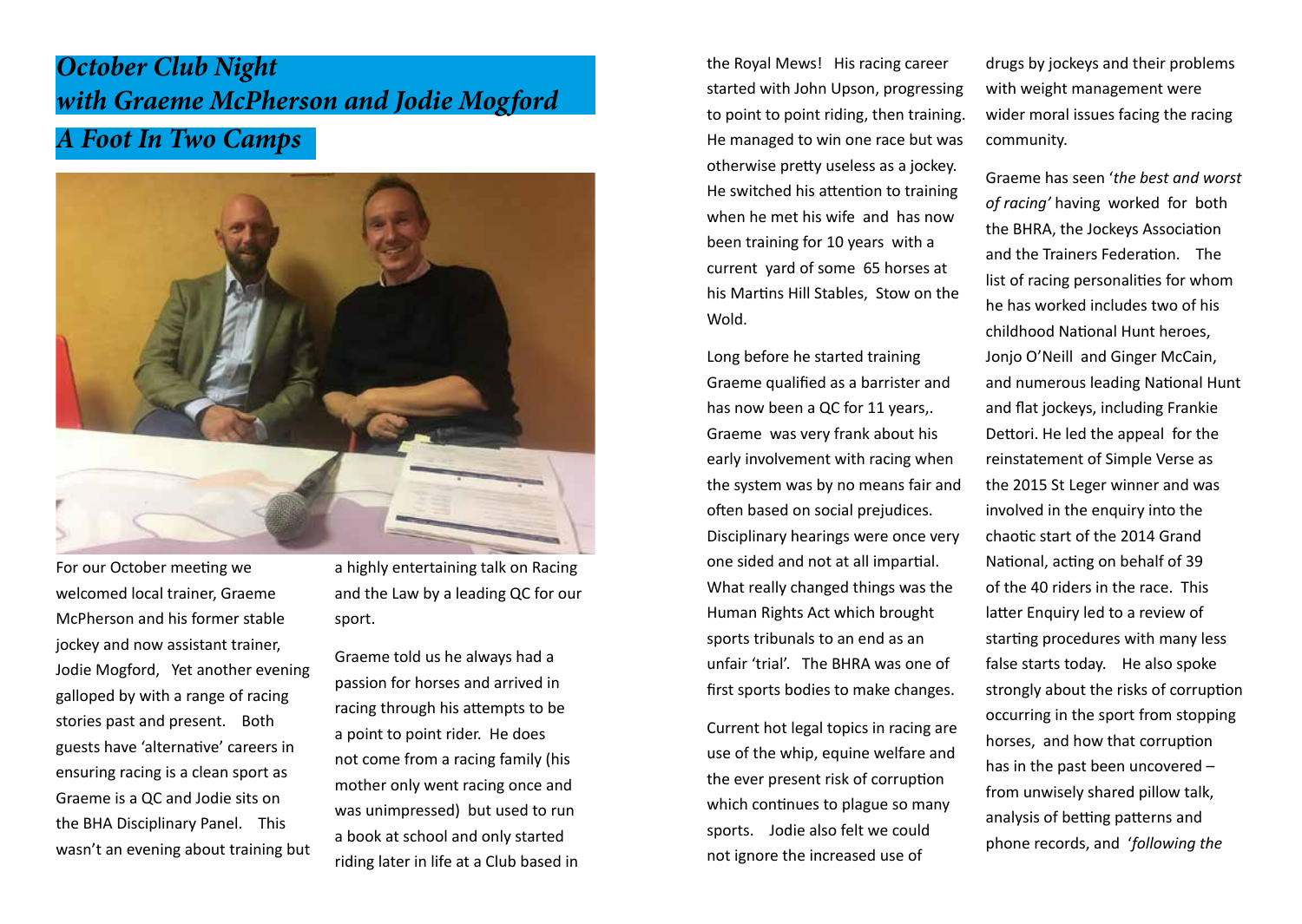## *A Foot In Two Camps October Club Night with Graeme McPherson and Jodie Mogford*



For our October meeting we welcomed local trainer, Graeme McPherson and his former stable jockey and now assistant trainer, Jodie Mogford, Yet another evening galloped by with a range of racing stories past and present. Both guests have 'alternative' careers in ensuring racing is a clean sport as Graeme is a QC and Jodie sits on the BHA Disciplinary Panel. This wasn't an evening about training but a highly entertaining talk on Racing and the Law by a leading QC for our sport.

Graeme told us he always had a passion for horses and arrived in racing through his attempts to be a point to point rider. He does not come from a racing family (his mother only went racing once and was unimpressed) but used to run a book at school and only started riding later in life at a Club based in the Royal Mews! His racing career started with John Upson, progressing to point to point riding, then training. He managed to win one race but was otherwise pretty useless as a jockey. He switched his attention to training when he met his wife and has now been training for 10 years with a current yard of some 65 horses at his Martins Hill Stables, Stow on the Wold.

Long before he started training Graeme qualified as a barrister and has now been a QC for 11 years,. Graeme was very frank about his early involvement with racing when the system was by no means fair and often based on social prejudices. Disciplinary hearings were once very one sided and not at all impartial. What really changed things was the Human Rights Act which brought sports tribunals to an end as an unfair 'trial'. The BHRA was one of first sports bodies to make changes.

Current hot legal topics in racing are use of the whip, equine welfare and the ever present risk of corruption which continues to plague so many sports. Jodie also felt we could not ignore the increased use of

drugs by jockeys and their problems with weight management were wider moral issues facing the racing community.

Graeme has seen '*the best and worst of racing'* having worked for both the BHRA, the Jockeys Association and the Trainers Federation. The list of racing personalities for whom he has worked includes two of his childhood National Hunt heroes, Jonjo O'Neill and Ginger McCain, and numerous leading National Hunt and flat jockeys, including Frankie Dettori. He led the appeal for the reinstatement of Simple Verse as the 2015 St Leger winner and was involved in the enquiry into the chaotic start of the 2014 Grand National, acting on behalf of 39 of the 40 riders in the race. This latter Enquiry led to a review of starting procedures with many less false starts today. He also spoke strongly about the risks of corruption occurring in the sport from stopping horses, and how that corruption has in the past been uncovered – from unwisely shared pillow talk, analysis of betting patterns and phone records, and '*following the*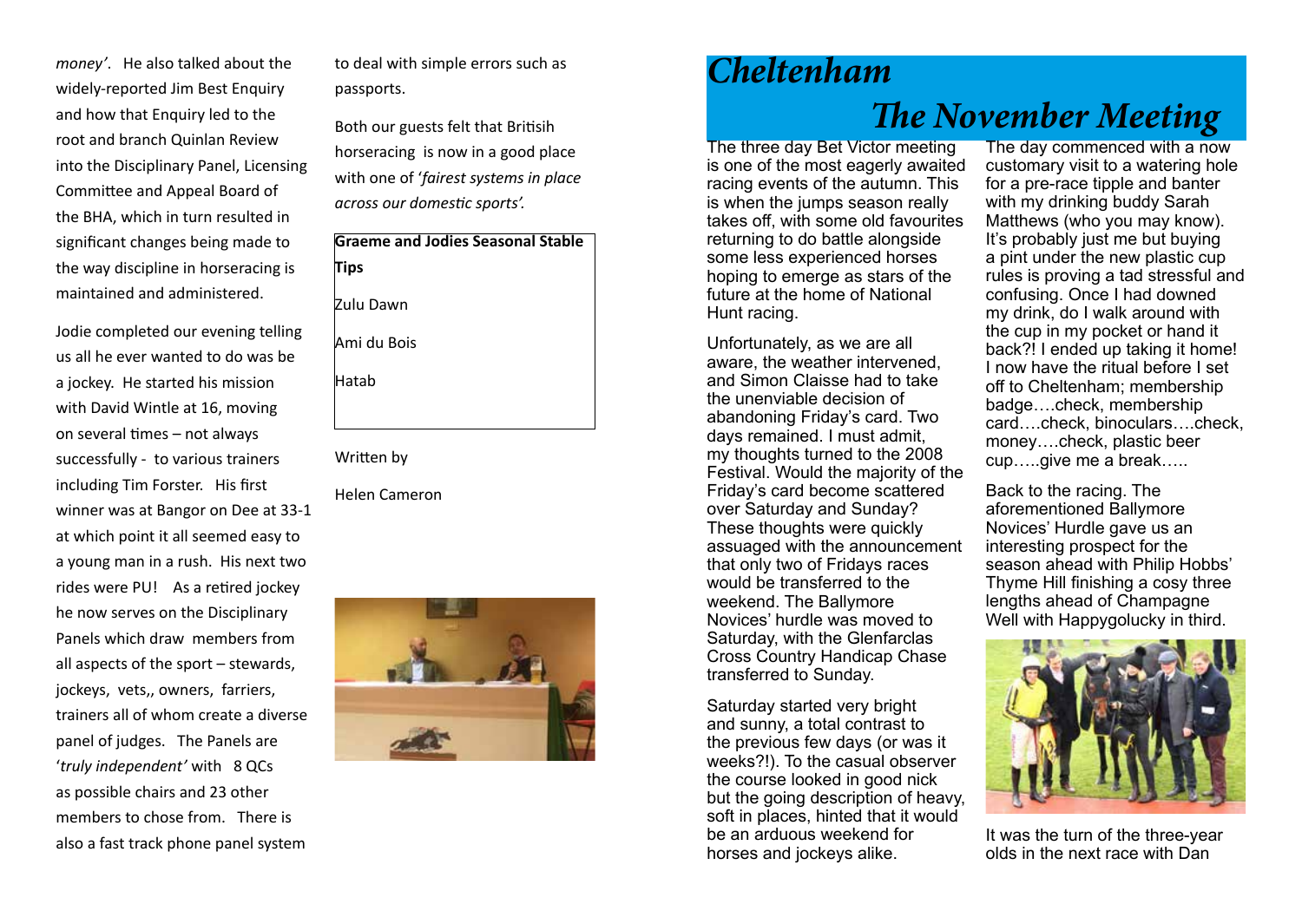*money'*. He also talked about the widely-reported Jim Best Enquiry and how that Enquiry led to the root and branch Quinlan Review into the Disciplinary Panel, Licensing Committee and Appeal Board of the BHA, which in turn resulted in significant changes being made to the way discipline in horseracing is maintained and administered.

Jodie completed our evening telling us all he ever wanted to do was be a jockey. He started his mission with David Wintle at 16, moving on several times – not always successfully - to various trainers including Tim Forster. His first winner was at Bangor on Dee at 33-1 at which point it all seemed easy to a young man in a rush. His next two rides were PU! As a retired jockey he now serves on the Disciplinary Panels which draw members from all aspects of the sport – stewards, jockeys, vets,, owners, farriers, trainers all of whom create a diverse panel of judges. The Panels are '*truly independent'* with 8 QCs as possible chairs and 23 other members to chose from. There is also a fast track phone panel system

to deal with simple errors such as passports.

Both our guests felt that Britisih horseracing is now in a good place with one of '*fairest systems in place across our domestic sports'.*

| <b>Graeme and Jodies Seasonal Stable</b><br><b>Tips</b> |
|---------------------------------------------------------|
| Zulu Dawn                                               |
| Ami du Bois                                             |
| Hatab                                                   |
|                                                         |

Written by

Helen Cameron



# *Cheltenham The November Meeting*

The three day Bet Victor meeting is one of the most eagerly awaited racing events of the autumn. This is when the jumps season really takes off, with some old favourites returning to do battle alongside some less experienced horses hoping to emerge as stars of the future at the home of National Hunt racing.

Unfortunately, as we are all aware, the weather intervened, and Simon Claisse had to take the unenviable decision of abandoning Friday's card. Two days remained. I must admit, my thoughts turned to the 2008 Festival. Would the majority of the Friday's card become scattered over Saturday and Sunday? These thoughts were quickly assuaged with the announcement that only two of Fridays races would be transferred to the weekend. The Ballymore Novices' hurdle was moved to Saturday, with the Glenfarclas Cross Country Handicap Chase transferred to Sunday.

Saturday started very bright and sunny, a total contrast to the previous few days (or was it weeks?!). To the casual observer the course looked in good nick but the going description of heavy, soft in places, hinted that it would be an arduous weekend for horses and jockeys alike.

The day commenced with a now customary visit to a watering hole for a pre-race tipple and banter with my drinking buddy Sarah Matthews (who you may know). It's probably just me but buying a pint under the new plastic cup rules is proving a tad stressful and confusing. Once I had downed my drink, do I walk around with the cup in my pocket or hand it back?! I ended up taking it home! I now have the ritual before I set off to Cheltenham; membership badge….check, membership card….check, binoculars….check, money….check, plastic beer cup…..give me a break…..

Back to the racing. The aforementioned Ballymore Novices' Hurdle gave us an interesting prospect for the season ahead with Philip Hobbs' Thyme Hill finishing a cosy three lengths ahead of Champagne Well with Happygolucky in third.



It was the turn of the three-year olds in the next race with Dan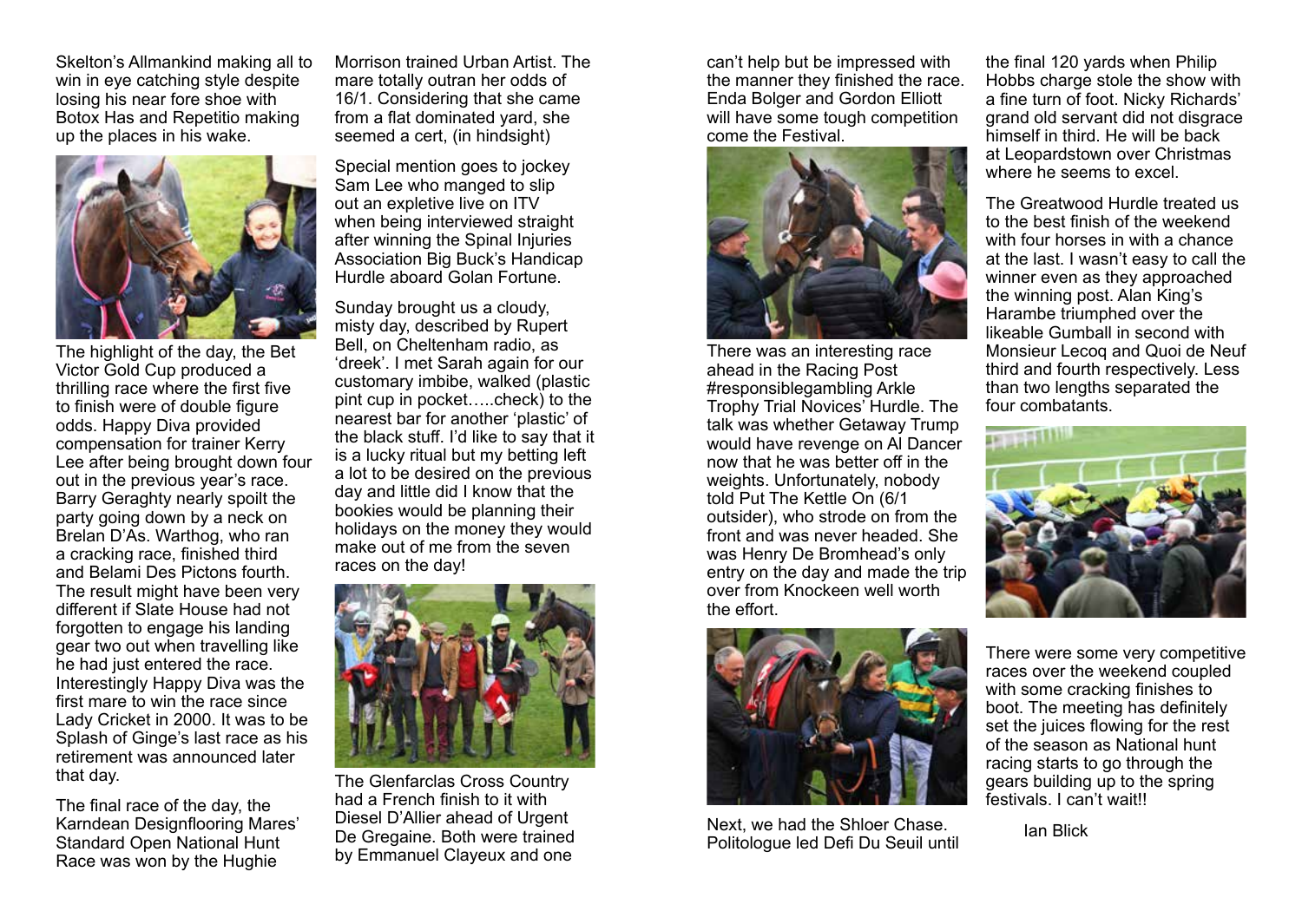Skelton's Allmankind making all to win in eye catching style despite losing his near fore shoe with Botox Has and Repetitio making up the places in his wake.



The highlight of the day, the Bet Victor Gold Cup produced a thrilling race where the first five to finish were of double figure odds. Happy Diva provided compensation for trainer Kerry Lee after being brought down four out in the previous year's race. Barry Geraghty nearly spoilt the party going down by a neck on Brelan D'As. Warthog, who ran a cracking race, finished third and Belami Des Pictons fourth. The result might have been very different if Slate House had not forgotten to engage his landing gear two out when travelling like he had just entered the race. Interestingly Happy Diva was the first mare to win the race since Lady Cricket in 2000. It was to be Splash of Ginge's last race as his retirement was announced later that day.

The final race of the day, the Karndean Designflooring Mares' Standard Open National Hunt Race was won by the Hughie

Morrison trained Urban Artist. The mare totally outran her odds of 16/1. Considering that she came from a flat dominated yard, she seemed a cert, (in hindsight)

Special mention goes to jockey Sam Lee who manged to slip out an expletive live on ITV when being interviewed straight after winning the Spinal Injuries Association Big Buck's Handicap Hurdle aboard Golan Fortune.

Sunday brought us a cloudy, misty day, described by Rupert Bell, on Cheltenham radio, as 'dreek'. I met Sarah again for our customary imbibe, walked (plastic pint cup in pocket…..check) to the nearest bar for another 'plastic' of the black stuff. I'd like to say that it is a lucky ritual but my betting left a lot to be desired on the previous day and little did I know that the bookies would be planning their holidays on the money they would make out of me from the seven races on the day!



The Glenfarclas Cross Country had a French finish to it with Diesel D'Allier ahead of Urgent De Gregaine. Both were trained by Emmanuel Clayeux and one

can't help but be impressed with the manner they finished the race. Enda Bolger and Gordon Elliott will have some tough competition come the Festival.



There was an interesting race ahead in the Racing Post #responsiblegambling Arkle Trophy Trial Novices' Hurdle. The talk was whether Getaway Trump would have revenge on Al Dancer now that he was better off in the weights. Unfortunately, nobody told Put The Kettle On (6/1 outsider), who strode on from the front and was never headed. She was Henry De Bromhead's only entry on the day and made the trip over from Knockeen well worth the effort.



Next, we had the Shloer Chase. Politologue led Defi Du Seuil until

the final 120 yards when Philip Hobbs charge stole the show with a fine turn of foot. Nicky Richards' grand old servant did not disgrace himself in third. He will be back at Leopardstown over Christmas where he seems to excel.

The Greatwood Hurdle treated us to the best finish of the weekend with four horses in with a chance at the last. I wasn't easy to call the winner even as they approached the winning post. Alan King's Harambe triumphed over the likeable Gumball in second with Monsieur Lecoq and Quoi de Neuf third and fourth respectively. Less than two lengths separated the four combatants.



There were some very competitive races over the weekend coupled with some cracking finishes to boot. The meeting has definitely set the juices flowing for the rest of the season as National hunt racing starts to go through the gears building up to the spring festivals. I can't wait!!

Ian Blick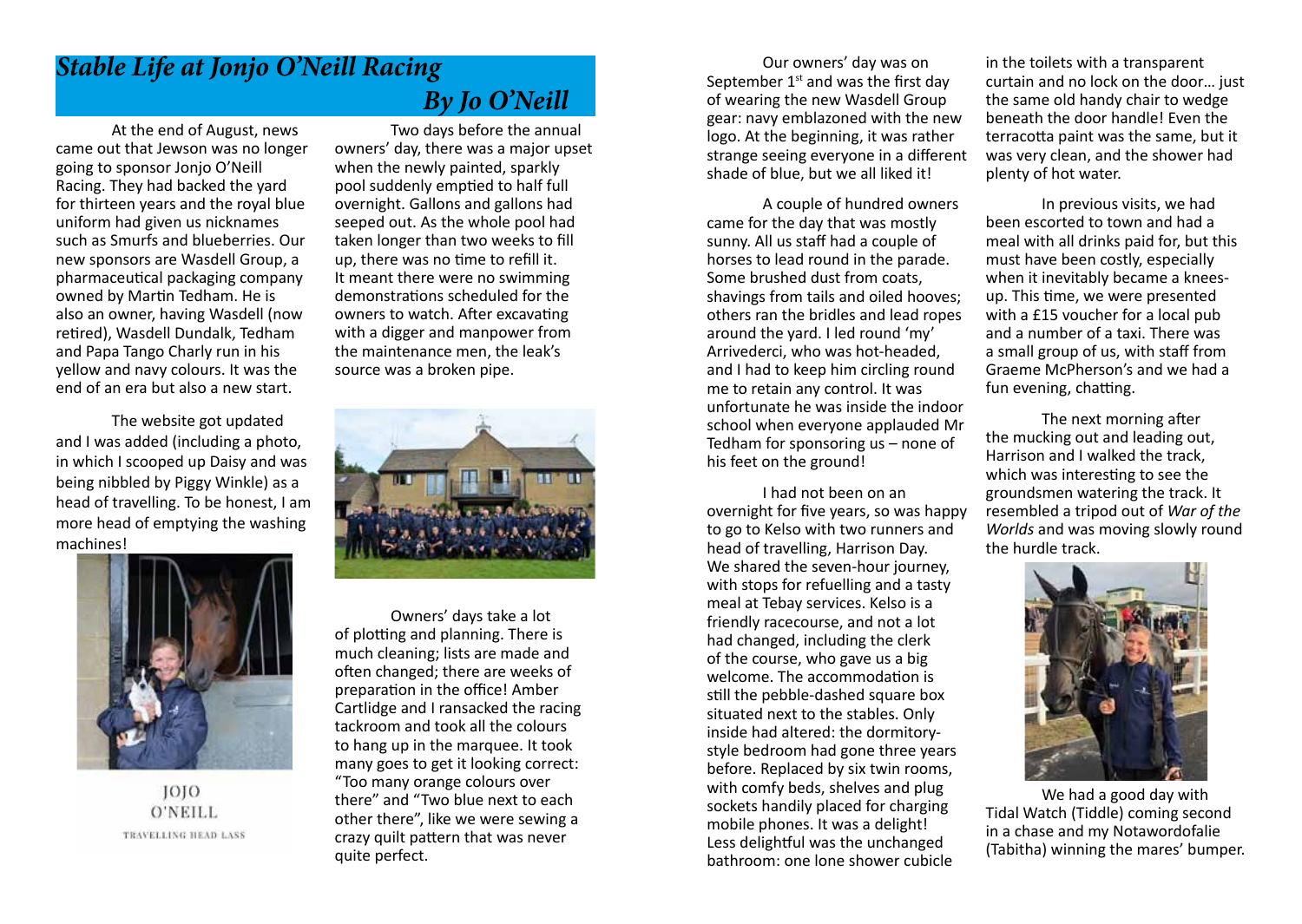## *Stable Life at Jonjo O'Neill Racing*

At the end of August, news came out that Jewson was no longer going to sponsor Jonjo O'Neill Racing. They had backed the yard for thirteen years and the royal blue uniform had given us nicknames such as Smurfs and blueberries. Our new sponsors are Wasdell Group, a pharmaceutical packaging company owned by Martin Tedham. He is also an owner, having Wasdell (now retired), Wasdell Dundalk, Tedham and Papa Tango Charly run in his yellow and navy colours. It was the end of an era but also a new start.

The website got updated and I was added (including a photo, in which I scooped up Daisy and was being nibbled by Piggy Winkle) as a head of travelling. To be honest, I am more head of emptying the washing machines!



1010 O'NEILL TRAVELLING HEAD LASS

## *By Jo O'Neill*

Two days before the annual owners' day, there was a major upset when the newly painted, sparkly pool suddenly emptied to half full overnight. Gallons and gallons had seeped out. As the whole pool had taken longer than two weeks to fill up, there was no time to refill it. It meant there were no swimming demonstrations scheduled for the owners to watch. After excavating with a digger and manpower from the maintenance men, the leak's source was a broken pipe.



Owners' days take a lot of plotting and planning. There is much cleaning; lists are made and often changed; there are weeks of preparation in the office! Amber Cartlidge and I ransacked the racing tackroom and took all the colours to hang up in the marquee. It took many goes to get it looking correct: "Too many orange colours over there" and "Two blue next to each other there", like we were sewing a crazy quilt pattern that was never quite perfect.

Our owners' day was on September  $1<sup>st</sup>$  and was the first day of wearing the new Wasdell Group gear: navy emblazoned with the new logo. At the beginning, it was rather strange seeing everyone in a different shade of blue, but we all liked it!

A couple of hundred owners came for the day that was mostly sunny. All us staff had a couple of horses to lead round in the parade. Some brushed dust from coats, shavings from tails and oiled hooves; others ran the bridles and lead ropes around the yard. I led round 'my' Arrivederci, who was hot-headed, and I had to keep him circling round me to retain any control. It was unfortunate he was inside the indoor school when everyone applauded Mr Tedham for sponsoring us – none of his feet on the ground!

I had not been on an overnight for five years, so was happy to go to Kelso with two runners and head of travelling, Harrison Day. We shared the seven-hour journey. with stops for refuelling and a tasty meal at Tebay services. Kelso is a friendly racecourse, and not a lot had changed, including the clerk of the course, who gave us a big welcome. The accommodation is still the pebble-dashed square box situated next to the stables. Only inside had altered: the dormitorystyle bedroom had gone three years before. Replaced by six twin rooms, with comfy beds, shelves and plug sockets handily placed for charging mobile phones. It was a delight! Less delightful was the unchanged bathroom: one lone shower cubicle

in the toilets with a transparent curtain and no lock on the door… just the same old handy chair to wedge beneath the door handle! Even the terracotta paint was the same, but it was very clean, and the shower had plenty of hot water.

In previous visits, we had been escorted to town and had a meal with all drinks paid for, but this must have been costly, especially when it inevitably became a kneesup. This time, we were presented with a £15 voucher for a local pub and a number of a taxi. There was a small group of us, with staff from Graeme McPherson's and we had a fun evening, chatting.

The next morning after the mucking out and leading out, Harrison and I walked the track, which was interesting to see the groundsmen watering the track. It resembled a tripod out of *War of the Worlds* and was moving slowly round the hurdle track.



We had a good day with Tidal Watch (Tiddle) coming second in a chase and my Notawordofalie (Tabitha) winning the mares' bumper.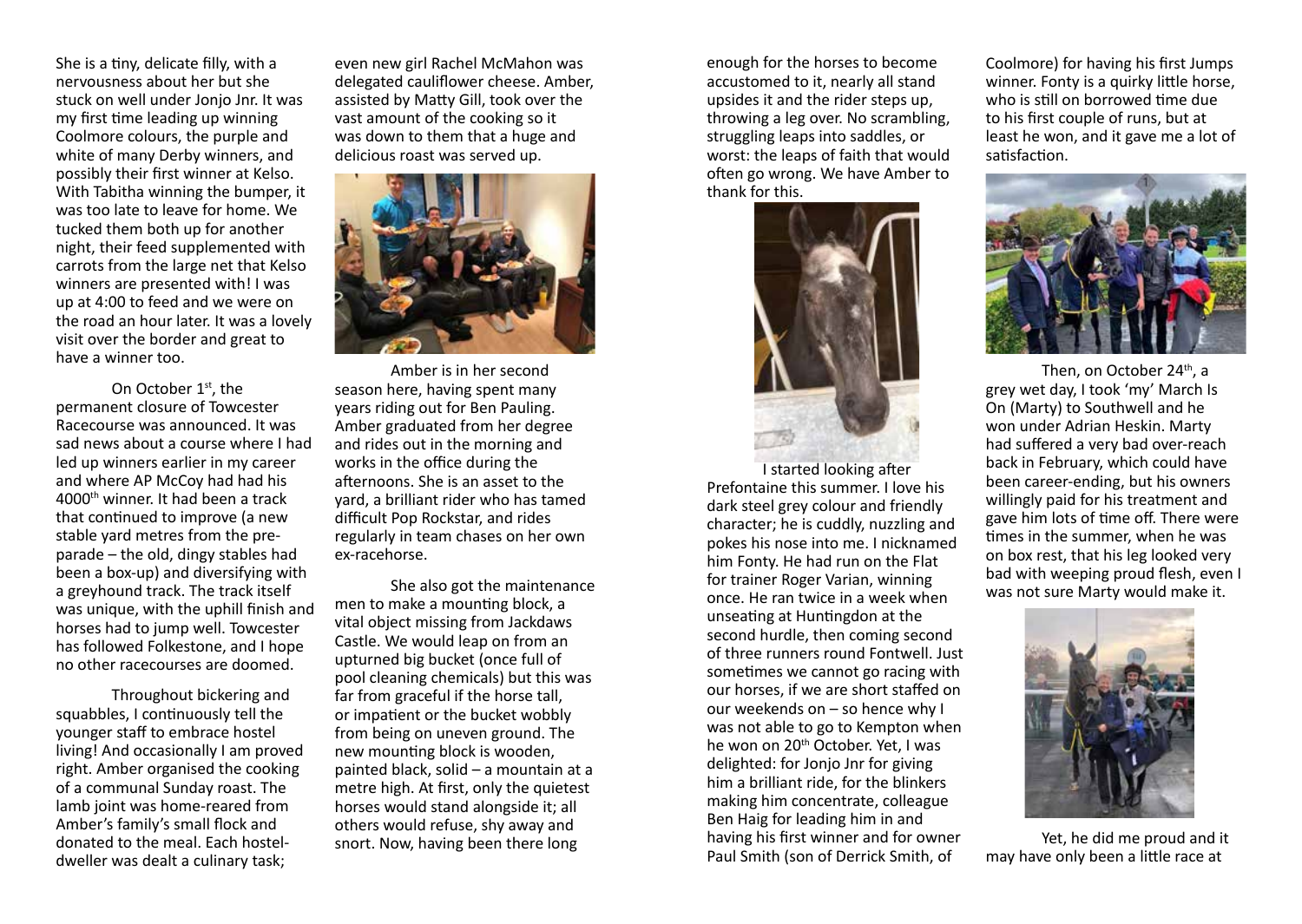She is a tiny, delicate filly, with a nervousness about her but she stuck on well under Jonjo Jnr. It was my first time leading up winning Coolmore colours, the purple and white of many Derby winners, and possibly their first winner at Kelso. With Tabitha winning the bumper, it was too late to leave for home. We tucked them both up for another night, their feed supplemented with carrots from the large net that Kelso winners are presented with! I was up at 4:00 to feed and we were on the road an hour later. It was a lovely visit over the border and great to have a winner too.

On October 1st, the permanent closure of Towcester Racecourse was announced. It was sad news about a course where I had led up winners earlier in my career and where AP McCoy had had his 4000th winner. It had been a track that continued to improve (a new stable yard metres from the preparade – the old, dingy stables had been a box-up) and diversifying with a greyhound track. The track itself was unique, with the uphill finish and horses had to jump well. Towcester has followed Folkestone, and I hope no other racecourses are doomed.

Throughout bickering and squabbles, I continuously tell the younger staff to embrace hostel living! And occasionally I am proved right. Amber organised the cooking of a communal Sunday roast. The lamb joint was home-reared from Amber's family's small flock and donated to the meal. Each hosteldweller was dealt a culinary task;

even new girl Rachel McMahon was delegated cauliflower cheese. Amber, assisted by Matty Gill, took over the vast amount of the cooking so it was down to them that a huge and delicious roast was served up.



Amber is in her second season here, having spent many years riding out for Ben Pauling. Amber graduated from her degree and rides out in the morning and works in the office during the afternoons. She is an asset to the yard, a brilliant rider who has tamed difficult Pop Rockstar, and rides regularly in team chases on her own ex-racehorse.

She also got the maintenance men to make a mounting block, a vital object missing from Jackdaws Castle. We would leap on from an upturned big bucket (once full of pool cleaning chemicals) but this was far from graceful if the horse tall, or impatient or the bucket wobbly from being on uneven ground. The new mounting block is wooden, painted black, solid – a mountain at a metre high. At first, only the quietest horses would stand alongside it; all others would refuse, shy away and snort. Now, having been there long

enough for the horses to become accustomed to it, nearly all stand upsides it and the rider steps up, throwing a leg over. No scrambling, struggling leaps into saddles, or worst: the leaps of faith that would often go wrong. We have Amber to thank for this.



I started looking after Prefontaine this summer. I love his dark steel grey colour and friendly character; he is cuddly, nuzzling and pokes his nose into me. I nicknamed him Fonty. He had run on the Flat for trainer Roger Varian, winning once. He ran twice in a week when unseating at Huntingdon at the second hurdle, then coming second of three runners round Fontwell. Just sometimes we cannot go racing with our horses, if we are short staffed on our weekends on – so hence why I was not able to go to Kempton when he won on 20<sup>th</sup> October. Yet, I was delighted: for Jonjo Jnr for giving him a brilliant ride, for the blinkers making him concentrate, colleague Ben Haig for leading him in and having his first winner and for owner Paul Smith (son of Derrick Smith, of

Coolmore) for having his first Jumps winner. Fonty is a quirky little horse, who is still on borrowed time due to his first couple of runs, but at least he won, and it gave me a lot of satisfaction.



Then, on October 24<sup>th</sup>, a grey wet day, I took 'my' March Is On (Marty) to Southwell and he won under Adrian Heskin. Marty had suffered a very bad over-reach back in February, which could have been career-ending, but his owners willingly paid for his treatment and gave him lots of time off. There were times in the summer, when he was on box rest, that his leg looked very bad with weeping proud flesh, even I was not sure Marty would make it.



Yet, he did me proud and it may have only been a little race at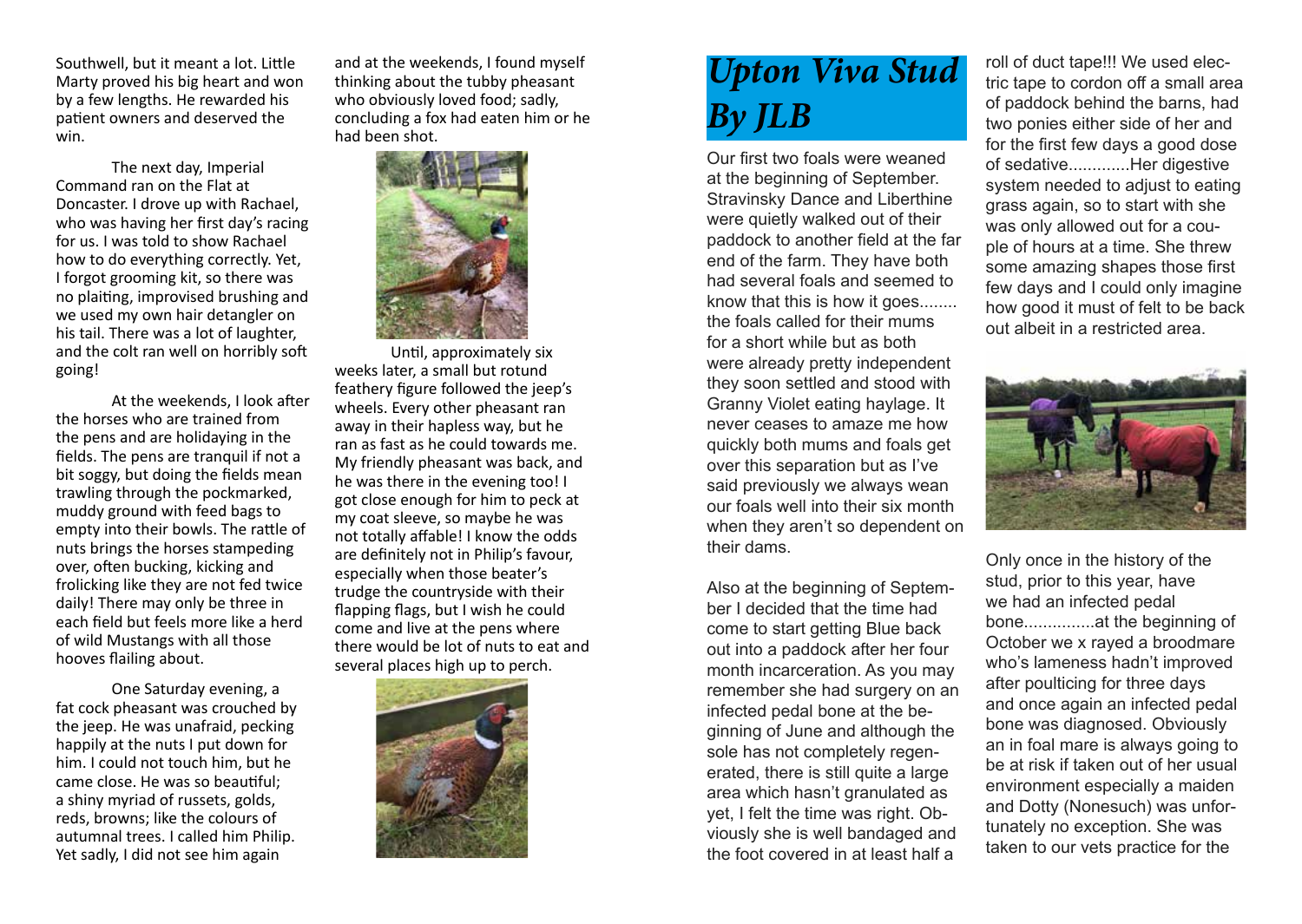Southwell, but it meant a lot. Little Marty proved his big heart and won by a few lengths. He rewarded his patient owners and deserved the win.

The next day, Imperial Command ran on the Flat at Doncaster. I drove up with Rachael, who was having her first day's racing for us. I was told to show Rachael how to do everything correctly. Yet, I forgot grooming kit, so there was no plaiting, improvised brushing and we used my own hair detangler on his tail. There was a lot of laughter, and the colt ran well on horribly soft going!

At the weekends, I look after the horses who are trained from the pens and are holidaying in the fields. The pens are tranquil if not a bit soggy, but doing the fields mean trawling through the pockmarked, muddy ground with feed bags to empty into their bowls. The rattle of nuts brings the horses stampeding over, often bucking, kicking and frolicking like they are not fed twice daily! There may only be three in each field but feels more like a herd of wild Mustangs with all those hooves flailing about.

One Saturday evening, a fat cock pheasant was crouched by the jeep. He was unafraid, pecking happily at the nuts I put down for him. I could not touch him, but he came close. He was so beautiful; a shiny myriad of russets, golds, reds, browns; like the colours of autumnal trees. I called him Philip. Yet sadly, I did not see him again

and at the weekends, I found myself thinking about the tubby pheasant who obviously loved food: sadly. concluding a fox had eaten him or he had been shot.



Until, approximately six weeks later, a small but rotund feathery figure followed the jeep's wheels. Every other pheasant ran away in their hapless way, but he ran as fast as he could towards me. My friendly pheasant was back, and he was there in the evening too! I got close enough for him to peck at my coat sleeve, so maybe he was not totally affable! I know the odds are definitely not in Philip's favour, especially when those beater's trudge the countryside with their flapping flags, but I wish he could come and live at the pens where there would be lot of nuts to eat and several places high up to perch.



# *Upton Viva Stud By JLB*

Our first two foals were weaned at the beginning of September. Stravinsky Dance and Liberthine were quietly walked out of their paddock to another field at the far end of the farm. They have both had several foals and seemed to know that this is how it goes........ the foals called for their mums for a short while but as both were already pretty independent they soon settled and stood with Granny Violet eating haylage. It never ceases to amaze me how quickly both mums and foals get over this separation but as I've said previously we always wean our foals well into their six month when they aren't so dependent on their dams.

Also at the beginning of September I decided that the time had come to start getting Blue back out into a paddock after her four month incarceration. As you may remember she had surgery on an infected pedal bone at the beginning of June and although the sole has not completely regenerated, there is still quite a large area which hasn't granulated as yet, I felt the time was right. Obviously she is well bandaged and the foot covered in at least half a

roll of duct tape!!! We used electric tape to cordon off a small area of paddock behind the barns, had two ponies either side of her and for the first few days a good dose of sedative.............Her digestive system needed to adjust to eating grass again, so to start with she was only allowed out for a couple of hours at a time. She threw some amazing shapes those first few days and I could only imagine how good it must of felt to be back out albeit in a restricted area.



Only once in the history of the stud, prior to this year, have we had an infected pedal bone...............at the beginning of October we x rayed a broodmare who's lameness hadn't improved after poulticing for three days and once again an infected pedal bone was diagnosed. Obviously an in foal mare is always going to be at risk if taken out of her usual environment especially a maiden and Dotty (Nonesuch) was unfortunately no exception. She was taken to our vets practice for the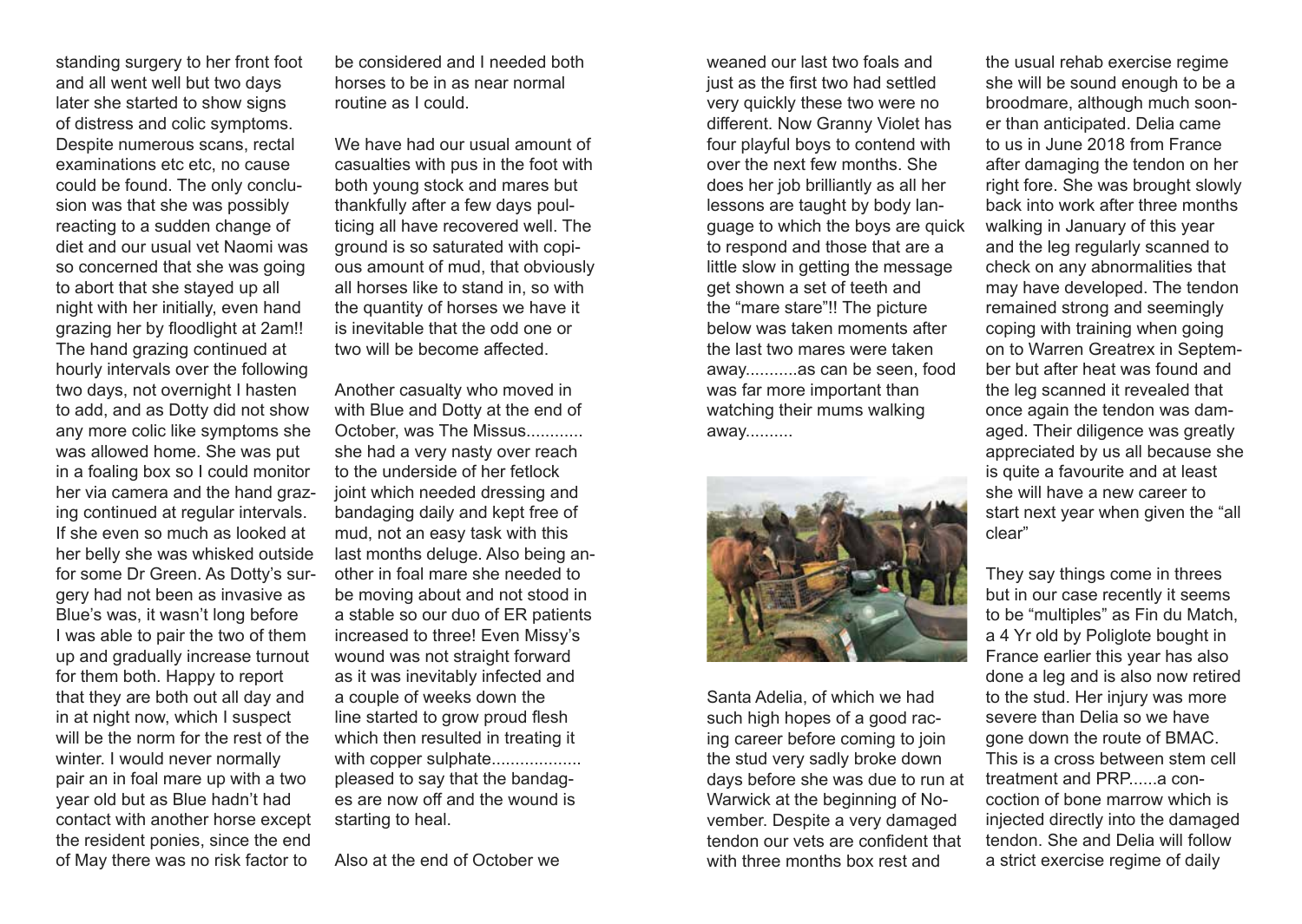standing surgery to her front foot and all went well but two days later she started to show signs of distress and colic symptoms. Despite numerous scans, rectal examinations etc etc, no cause could be found. The only conclusion was that she was possibly reacting to a sudden change of diet and our usual vet Naomi was so concerned that she was going to abort that she stayed up all night with her initially, even hand grazing her by floodlight at 2am!! The hand grazing continued at hourly intervals over the following two days, not overnight I hasten to add, and as Dotty did not show any more colic like symptoms she was allowed home. She was put in a foaling box so I could monitor her via camera and the hand grazing continued at regular intervals. If she even so much as looked at her belly she was whisked outside for some Dr Green. As Dotty's surgery had not been as invasive as Blue's was, it wasn't long before I was able to pair the two of them up and gradually increase turnout for them both. Happy to report that they are both out all day and in at night now, which I suspect will be the norm for the rest of the winter. I would never normally pair an in foal mare up with a two year old but as Blue hadn't had contact with another horse except the resident ponies, since the end of May there was no risk factor to

be considered and I needed both horses to be in as near normal routine as I could.

We have had our usual amount of casualties with pus in the foot with both young stock and mares but thankfully after a few days poulticing all have recovered well. The ground is so saturated with copious amount of mud, that obviously all horses like to stand in, so with the quantity of horses we have it is inevitable that the odd one or two will be become affected.

Another casualty who moved in with Blue and Dotty at the end of October, was The Missus............ she had a very nasty over reach to the underside of her fetlock joint which needed dressing and bandaging daily and kept free of mud, not an easy task with this last months deluge. Also being another in foal mare she needed to be moving about and not stood in a stable so our duo of ER patients increased to three! Even Missy's wound was not straight forward as it was inevitably infected and a couple of weeks down the line started to grow proud flesh which then resulted in treating it with copper sulphate.................. pleased to say that the bandages are now off and the wound is starting to heal.

Also at the end of October we

weaned our last two foals and just as the first two had settled very quickly these two were no different. Now Granny Violet has four playful boys to contend with over the next few months. She does her job brilliantly as all her lessons are taught by body language to which the boys are quick to respond and those that are a little slow in getting the message get shown a set of teeth and the "mare stare"!! The picture below was taken moments after the last two mares were taken away...........as can be seen, food was far more important than watching their mums walking away..........



Santa Adelia, of which we had such high hopes of a good racing career before coming to join the stud very sadly broke down days before she was due to run at Warwick at the beginning of November. Despite a very damaged tendon our vets are confident that with three months box rest and

the usual rehab exercise regime she will be sound enough to be a broodmare, although much sooner than anticipated. Delia came to us in June 2018 from France after damaging the tendon on her right fore. She was brought slowly back into work after three months walking in January of this year and the leg regularly scanned to check on any abnormalities that may have developed. The tendon remained strong and seemingly coping with training when going on to Warren Greatrex in September but after heat was found and the leg scanned it revealed that once again the tendon was damaged. Their diligence was greatly appreciated by us all because she is quite a favourite and at least she will have a new career to start next year when given the "all clear"

They say things come in threes but in our case recently it seems to be "multiples" as Fin du Match, a 4 Yr old by Poliglote bought in France earlier this year has also done a leg and is also now retired to the stud. Her injury was more severe than Delia so we have gone down the route of BMAC. This is a cross between stem cell treatment and PRP......a concoction of bone marrow which is injected directly into the damaged tendon. She and Delia will follow a strict exercise regime of daily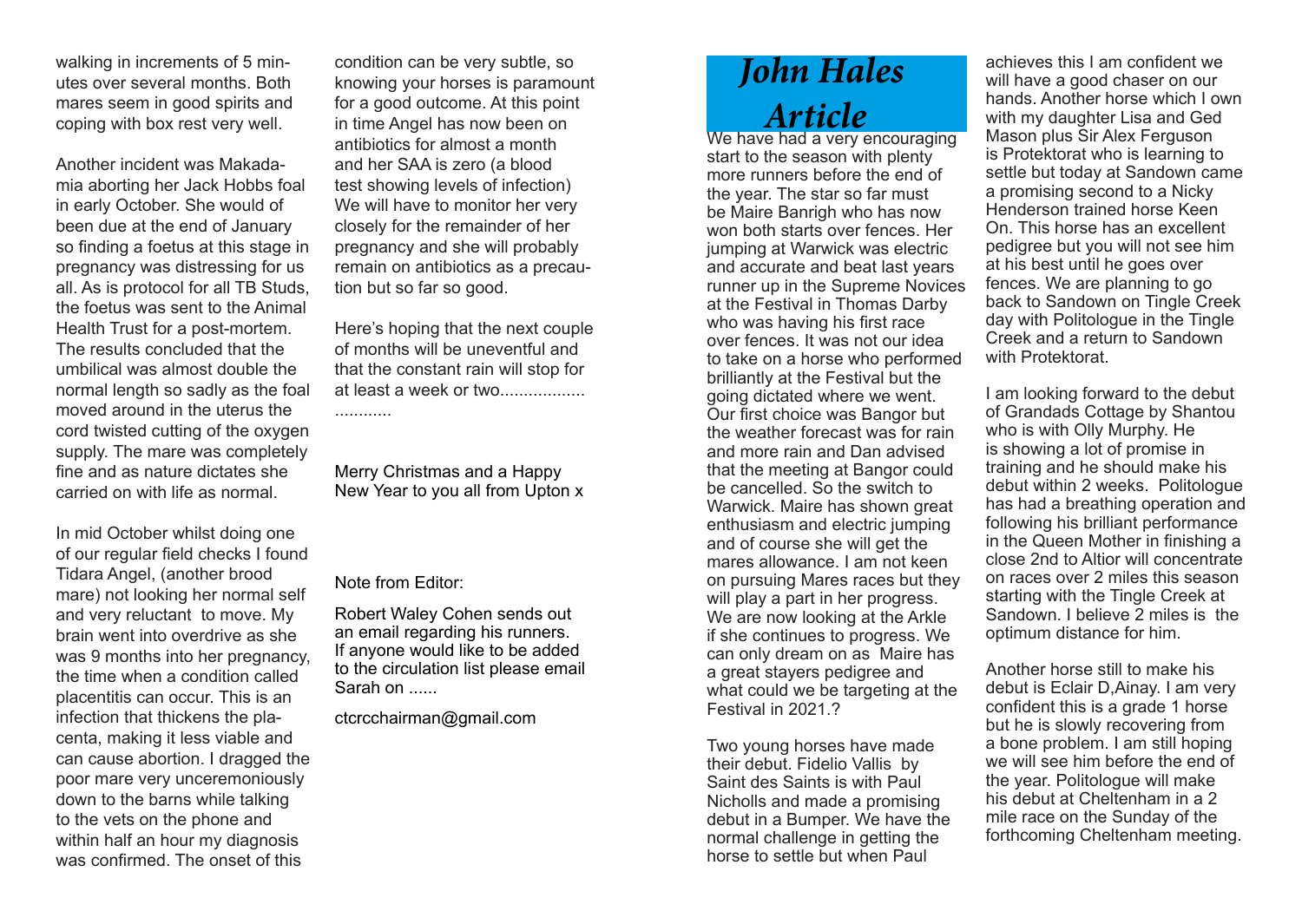walking in increments of 5 minutes over several months. Both mares seem in good spirits and coping with box rest very well.

Another incident was Makadamia aborting her Jack Hobbs foal in early October. She would of been due at the end of January so finding a foetus at this stage in pregnancy was distressing for us all. As is protocol for all TB Studs, the foetus was sent to the Animal Health Trust for a post-mortem. The results concluded that the umbilical was almost double the normal length so sadly as the foal moved around in the uterus the cord twisted cutting of the oxygen supply. The mare was completely fine and as nature dictates she carried on with life as normal.

In mid October whilst doing one of our regular field checks I found Tidara Angel, (another brood mare) not looking her normal self and very reluctant to move. My brain went into overdrive as she was 9 months into her pregnancy, the time when a condition called placentitis can occur. This is an infection that thickens the placenta, making it less viable and can cause abortion. I dragged the poor mare very unceremoniously down to the barns while talking to the vets on the phone and within half an hour my diagnosis was confirmed. The onset of this

condition can be very subtle, so knowing your horses is paramount for a good outcome. At this point in time Angel has now been on antibiotics for almost a month and her SAA is zero (a blood test showing levels of infection) We will have to monitor her very closely for the remainder of her pregnancy and she will probably remain on antibiotics as a precaution but so far so good.

Here's hoping that the next couple of months will be uneventful and that the constant rain will stop for at least a week or two..................

............

Merry Christmas and a Happy New Year to you all from Upton x

Note from Editor:

Robert Waley Cohen sends out an email regarding his runners. If anyone would like to be added to the circulation list please email Sarah on ......

ctcrcchairman@gmail.com

## *John Hales Article*

We have had a very encouraging start to the season with plenty more runners before the end of the year. The star so far must be Maire Banrigh who has now won both starts over fences. Her jumping at Warwick was electric and accurate and beat last years runner up in the Supreme Novices at the Festival in Thomas Darby who was having his first race over fences. It was not our idea to take on a horse who performed brilliantly at the Festival but the going dictated where we went. Our first choice was Bangor but the weather forecast was for rain and more rain and Dan advised that the meeting at Bangor could be cancelled. So the switch to Warwick. Maire has shown great enthusiasm and electric jumping and of course she will get the mares allowance. I am not keen on pursuing Mares races but they will play a part in her progress. We are now looking at the Arkle if she continues to progress. We can only dream on as Maire has a great stayers pedigree and what could we be targeting at the Festival in 2021.?

Two young horses have made their debut. Fidelio Vallis by Saint des Saints is with Paul Nicholls and made a promising debut in a Bumper. We have the normal challenge in getting the horse to settle but when Paul

achieves this I am confident we will have a good chaser on our hands. Another horse which I own with my daughter Lisa and Ged Mason plus Sir Alex Ferguson is Protektorat who is learning to settle but today at Sandown came a promising second to a Nicky Henderson trained horse Keen On. This horse has an excellent pedigree but you will not see him at his best until he goes over fences. We are planning to go back to Sandown on Tingle Creek day with Politologue in the Tingle Creek and a return to Sandown with Protektorat.

I am looking forward to the debut of Grandads Cottage by Shantou who is with Olly Murphy. He is showing a lot of promise in training and he should make his debut within 2 weeks. Politologue has had a breathing operation and following his brilliant performance in the Queen Mother in finishing a close 2nd to Altior will concentrate on races over 2 miles this season starting with the Tingle Creek at Sandown. I believe 2 miles is the optimum distance for him.

Another horse still to make his debut is Eclair D,Ainay. I am very confident this is a grade 1 horse but he is slowly recovering from a bone problem. I am still hoping we will see him before the end of the year. Politologue will make his debut at Cheltenham in a 2 mile race on the Sunday of the forthcoming Cheltenham meeting.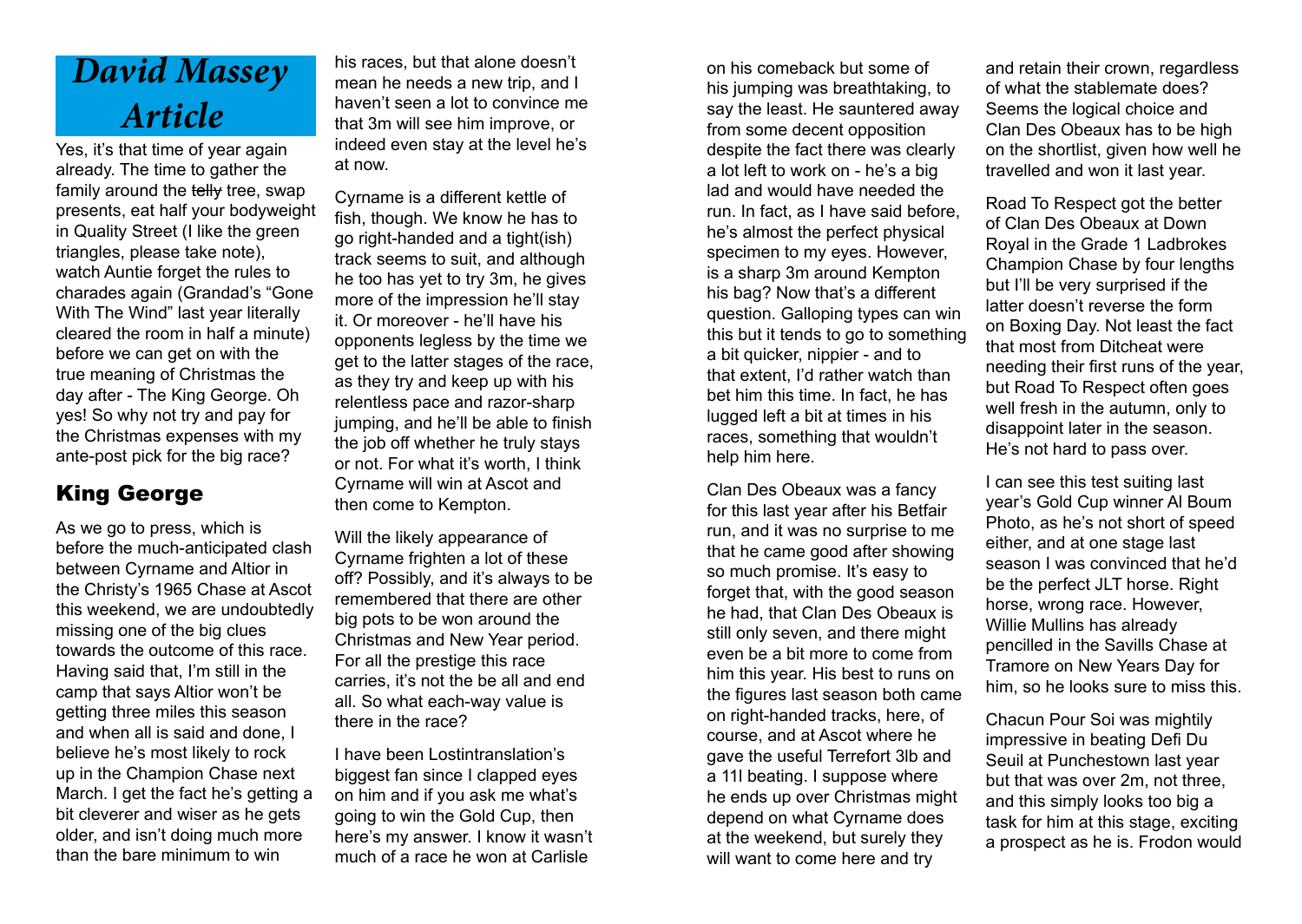# *David Massey Article*

Yes, it's that time of year again already. The time to gather the family around the telly tree, swap presents, eat half your bodyweight in Quality Street (I like the green triangles, please take note), watch Auntie forget the rules to charades again (Grandad's "Gone With The Wind" last year literally cleared the room in half a minute) before we can get on with the true meaning of Christmas the day after - The King George. Oh yes! So why not try and pay for the Christmas expenses with my ante-post pick for the big race?

### King George

As we go to press, which is before the much-anticipated clash between Cyrname and Altior in the Christy's 1965 Chase at Ascot this weekend, we are undoubtedly missing one of the big clues towards the outcome of this race. Having said that, I'm still in the camp that says Altior won't be getting three miles this season and when all is said and done, I believe he's most likely to rock up in the Champion Chase next March. I get the fact he's getting a bit cleverer and wiser as he gets older, and isn't doing much more than the bare minimum to win

his races, but that alone doesn't mean he needs a new trip, and I haven't seen a lot to convince me that 3m will see him improve, or indeed even stay at the level he's at now.

Cyrname is a different kettle of fish, though. We know he has to go right-handed and a tight(ish) track seems to suit, and although he too has yet to try 3m, he gives more of the impression he'll stay it. Or moreover - he'll have his opponents legless by the time we get to the latter stages of the race, as they try and keep up with his relentless pace and razor-sharp jumping, and he'll be able to finish the job off whether he truly stays or not. For what it's worth, I think Cyrname will win at Ascot and then come to Kempton.

Will the likely appearance of Cyrname frighten a lot of these off? Possibly, and it's always to be remembered that there are other big pots to be won around the Christmas and New Year period. For all the prestige this race carries, it's not the be all and end all. So what each-way value is there in the race?

I have been Lostintranslation's biggest fan since I clapped eyes on him and if you ask me what's going to win the Gold Cup, then here's my answer. I know it wasn't much of a race he won at Carlisle

on his comeback but some of his jumping was breathtaking, to say the least. He sauntered away from some decent opposition despite the fact there was clearly a lot left to work on - he's a big lad and would have needed the run. In fact, as I have said before, he's almost the perfect physical specimen to my eyes. However, is a sharp 3m around Kempton his bag? Now that's a different question. Galloping types can win this but it tends to go to something a bit quicker, nippier - and to that extent, I'd rather watch than bet him this time. In fact, he has lugged left a bit at times in his races, something that wouldn't help him here.

Clan Des Obeaux was a fancy for this last year after his Betfair run, and it was no surprise to me that he came good after showing so much promise. It's easy to forget that, with the good season he had, that Clan Des Obeaux is still only seven, and there might even be a bit more to come from him this year. His best to runs on the figures last season both came on right-handed tracks, here, of course, and at Ascot where he gave the useful Terrefort 3lb and a 11l beating. I suppose where he ends up over Christmas might depend on what Cyrname does at the weekend, but surely they will want to come here and try

and retain their crown, regardless of what the stablemate does? Seems the logical choice and Clan Des Obeaux has to be high on the shortlist, given how well he travelled and won it last year.

Road To Respect got the better of Clan Des Obeaux at Down Royal in the Grade 1 Ladbrokes Champion Chase by four lengths but I'll be very surprised if the latter doesn't reverse the form on Boxing Day. Not least the fact that most from Ditcheat were needing their first runs of the year, but Road To Respect often goes well fresh in the autumn, only to disappoint later in the season. He's not hard to pass over.

I can see this test suiting last year's Gold Cup winner Al Boum Photo, as he's not short of speed either, and at one stage last season I was convinced that he'd be the perfect JLT horse. Right horse, wrong race. However, Willie Mullins has already pencilled in the Savills Chase at Tramore on New Years Day for him, so he looks sure to miss this.

Chacun Pour Soi was mightily impressive in beating Defi Du Seuil at Punchestown last year but that was over 2m, not three, and this simply looks too big a task for him at this stage, exciting a prospect as he is. Frodon would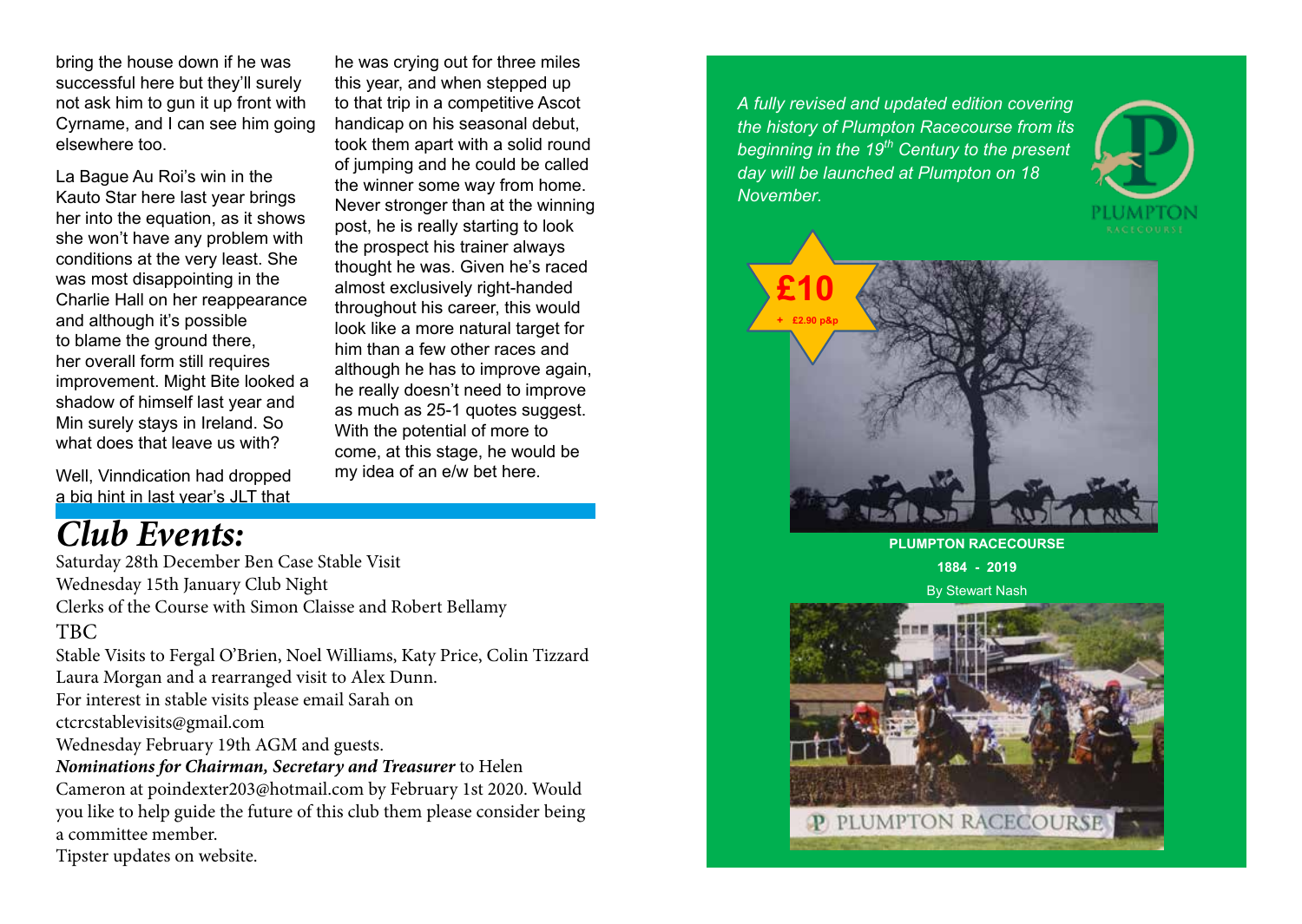bring the house down if he was successful here but they'll surely not ask him to gun it up front with Cyrname, and I can see him going elsewhere too.

La Bague Au Roi's win in the Kauto Star here last year brings her into the equation, as it shows she won't have any problem with conditions at the very least. She was most disappointing in the Charlie Hall on her reappearance and although it's possible to blame the ground there. her overall form still requires improvement. Might Bite looked a shadow of himself last year and Min surely stays in Ireland. So what does that leave us with?

Well, Vinndication had dropped a big hint in last year's JLT that

## *Club Events:*

Saturday 28th December Ben Case Stable Visit Wednesday 15th January Club Night Clerks of the Course with Simon Claisse and Robert Bellamy TBC Stable Visits to Fergal O'Brien, Noel Williams, Katy Price, Colin Tizzard Laura Morgan and a rearranged visit to Alex Dunn. For interest in stable visits please email Sarah on ctcrcstablevisits@gmail.com Wednesday February 19th AGM and guests. *Nominations for Chairman, Secretary and Treasurer* to Helen Cameron at poindexter203@hotmail.com by February 1st 2020. Would you like to help guide the future of this club them please consider being a committee member.

Tipster updates on website.

he was crying out for three miles this year, and when stepped up to that trip in a competitive Ascot handicap on his seasonal debut, took them apart with a solid round of jumping and he could be called the winner some way from home. Never stronger than at the winning post, he is really starting to look the prospect his trainer always thought he was. Given he's raced almost exclusively right-handed throughout his career, this would look like a more natural target for him than a few other races and although he has to improve again, he really doesn't need to improve as much as 25-1 quotes suggest. With the potential of more to come, at this stage, he would be my idea of an e/w bet here.

*A fully revised and updated edition covering the history of Plumpton Racecourse from its beginning in the 19th Century to the present day will be launched at Plumpton on 18 November.*





**PLUMPTON RACECOURSE**

**1884 - 2019**

By Stewart Nash

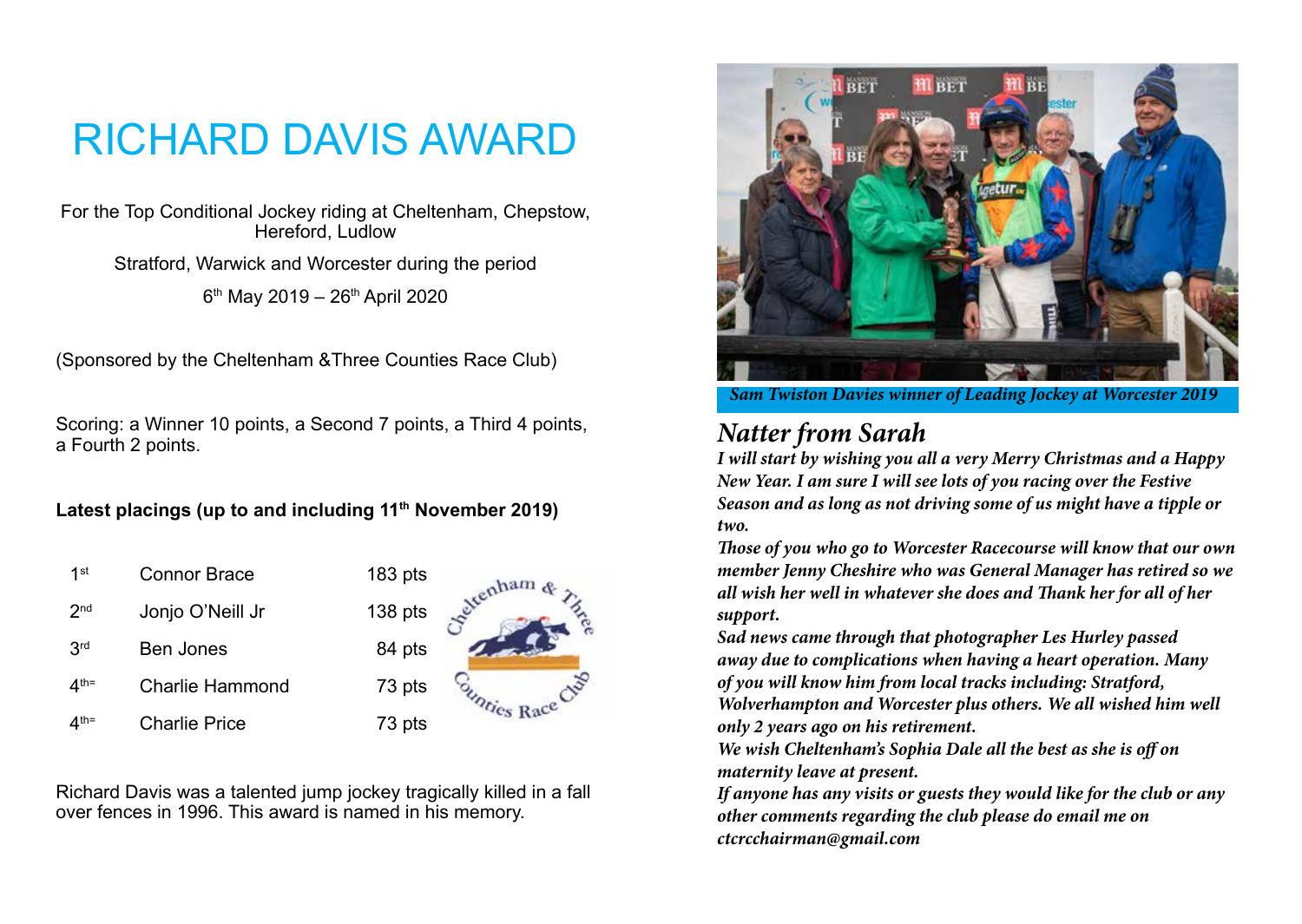# RICHARD DAVIS AWARD

For the Top Conditional Jockey riding at Cheltenham, Chepstow, Hereford, Ludlow

Stratford, Warwick and Worcester during the period  $6<sup>th</sup>$  May 2019 – 26<sup>th</sup> April 2020

(Sponsored by the Cheltenham &Three Counties Race Club)

Scoring: a Winner 10 points, a Second 7 points, a Third 4 points, a Fourth 2 points.

Latest placings (up to and including 11<sup>th</sup> November 2019)

1<sup>st</sup> Connor Brace 183 pts 2<sup>nd</sup> Jonjo O'Neill Jr 138 pts 3rd Ben Jones 84 pts 4<sup>th=</sup> Charlie Hammond 73 pts 4<sup>th=</sup> Charlie Price 73 pts



Richard Davis was a talented jump jockey tragically killed in a fall over fences in 1996. This award is named in his memory.



*Sam Twiston Davies winner of Leading Jockey at Worcester 2019*

## *Natter from Sarah*

*I will start by wishing you all a very Merry Christmas and a Happy New Year. I am sure I will see lots of you racing over the Festive Season and as long as not driving some of us might have a tipple or two.*

*Those of you who go to Worcester Racecourse will know that our own member Jenny Cheshire who was General Manager has retired so we all wish her well in whatever she does and Thank her for all of her support.*

*Sad news came through that photographer Les Hurley passed away due to complications when having a heart operation. Many of you will know him from local tracks including: Stratford, Wolverhampton and Worcester plus others. We all wished him well only 2 years ago on his retirement.*

*We wish Cheltenham's Sophia Dale all the best as she is off on maternity leave at present.*

*If anyone has any visits or guests they would like for the club or any other comments regarding the club please do email me on ctcrcchairman@gmail.com*